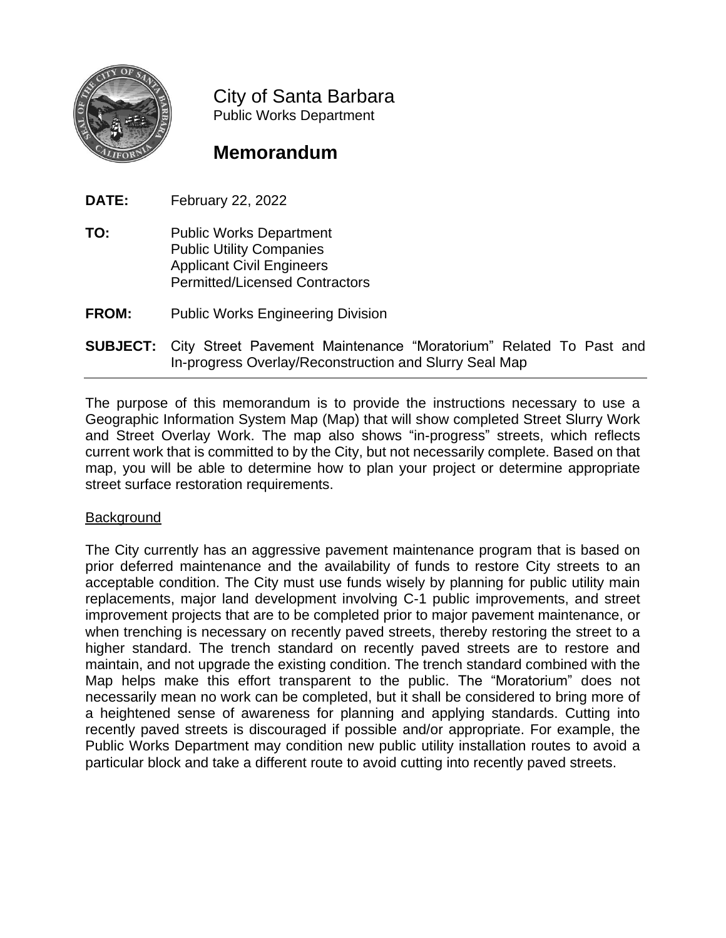

City of Santa Barbara Public Works Department

# **Memorandum**

**DATE:** February 22, 2022

- **TO:** Public Works Department Public Utility Companies Applicant Civil Engineers Permitted/Licensed Contractors
- **FROM:** Public Works Engineering Division
- **SUBJECT:** City Street Pavement Maintenance "Moratorium" Related To Past and In-progress Overlay/Reconstruction and Slurry Seal Map

The purpose of this memorandum is to provide the instructions necessary to use a Geographic Information System Map (Map) that will show completed Street Slurry Work and Street Overlay Work. The map also shows "in-progress" streets, which reflects current work that is committed to by the City, but not necessarily complete. Based on that map, you will be able to determine how to plan your project or determine appropriate street surface restoration requirements.

## **Background**

The City currently has an aggressive pavement maintenance program that is based on prior deferred maintenance and the availability of funds to restore City streets to an acceptable condition. The City must use funds wisely by planning for public utility main replacements, major land development involving C-1 public improvements, and street improvement projects that are to be completed prior to major pavement maintenance, or when trenching is necessary on recently paved streets, thereby restoring the street to a higher standard. The trench standard on recently paved streets are to restore and maintain, and not upgrade the existing condition. The trench standard combined with the Map helps make this effort transparent to the public. The "Moratorium" does not necessarily mean no work can be completed, but it shall be considered to bring more of a heightened sense of awareness for planning and applying standards. Cutting into recently paved streets is discouraged if possible and/or appropriate. For example, the Public Works Department may condition new public utility installation routes to avoid a particular block and take a different route to avoid cutting into recently paved streets.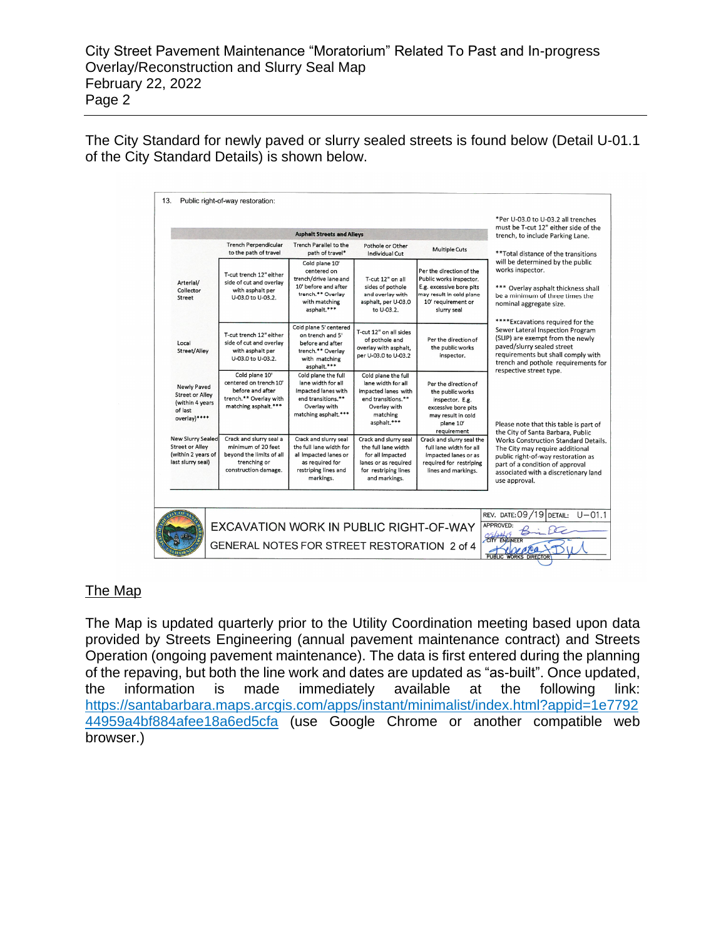The City Standard for newly paved or slurry sealed streets is found below (Detail U-01.1 of the City Standard Details) is shown below.

| <b>Asphalt Streets and Alleys</b>                                                             |                                                                                                                   |                                                                                                                                     |                                                                                                                                   |                                                                                                                                                  | must be T-cut 12" either side of the<br>trench, to include Parking Lane.                                                                                                                                         |  |
|-----------------------------------------------------------------------------------------------|-------------------------------------------------------------------------------------------------------------------|-------------------------------------------------------------------------------------------------------------------------------------|-----------------------------------------------------------------------------------------------------------------------------------|--------------------------------------------------------------------------------------------------------------------------------------------------|------------------------------------------------------------------------------------------------------------------------------------------------------------------------------------------------------------------|--|
|                                                                                               | <b>Trench Perpendicular</b><br>to the path of travel                                                              | Trench Parallel to the<br>path of travel*                                                                                           | Pothole or Other<br>Individual Cut                                                                                                | <b>Multiple Cuts</b>                                                                                                                             | ** Total distance of the transitions                                                                                                                                                                             |  |
| Arterial/<br>Collector<br>Street                                                              | T-cut trench 12" either<br>side of cut and overlav<br>with asphalt per<br>U-03.0 to U-03.2.                       | Cold plane 10'<br>centered on<br>trench/drive lane and<br>10' before and after<br>trench.** Overlay<br>with matching<br>asphalt.*** | T-cut 12" on all<br>sides of pothole<br>and overlay with<br>asphalt, per U-03.0<br>to U-03.2.                                     | Per the direction of the<br>Public works inspector.<br>E.g. excessive bore pits<br>may result in cold plane<br>10' requirement or<br>slurry seal | will be determined by the public<br>works inspector.<br>*** Overlay asphalt thickness shall<br>be a minimum of three times the<br>nominal aggregate size.<br>****Excavations required for the                    |  |
| Local<br>Street/Alley                                                                         | T-cut trench 12" either<br>side of cut and overlav<br>with asphalt per<br>U-03.0 to U-03.2.                       | Cold plane 5' centered<br>on trench and 5'<br>before and after<br>trench.** Overlay<br>with matching<br>asphalt.***                 | T-cut 12" on all sides<br>of pothole and<br>overlay with asphalt,<br>per U-03.0 to U-03.2                                         | Per the direction of<br>the public works<br>inspector.                                                                                           | Sewer Lateral Inspection Program<br>(SLIP) are exempt from the newly<br>paved/slurry sealed street<br>requirements but shall comply with<br>trench and pothole requirements for<br>respective street type.       |  |
| Newly Paved<br><b>Street or Alley</b><br>(within 4 years<br>of last<br>overlay)****           | Cold plane 10'<br>centered on trench 10'<br>before and after<br>trench.** Overlay with<br>matching asphalt.***    | Cold plane the full<br>lane width for all<br>impacted lanes with<br>end transitions.**<br>Overlay with<br>matching asphalt.***      | Cold plane the full<br>lane width for all<br>impacted lanes with<br>end transitions.**<br>Overlav with<br>matching<br>asphalt.*** | Per the direction of<br>the public works<br>inspector. E.g.<br>excessive bore pits<br>may result in cold<br>plane 10'<br>requirement             | Please note that this table is part of<br>the City of Santa Barbara, Public                                                                                                                                      |  |
| <b>New Slurry Sealed</b><br><b>Street or Alley</b><br>(within 2 years of<br>last slurry seal) | Crack and slurry seal a<br>minimum of 20 feet<br>bevond the limits of all<br>trenching or<br>construction damage. | Crack and slurry seal<br>the full lane width for<br>all impacted lanes or<br>as required for<br>restriping lines and<br>markings.   | Crack and slurry seal<br>the full lane width<br>for all impacted<br>lanes or as required<br>for restriping lines<br>and markings. | Crack and slurry seal the<br>full lane width for all<br>impacted lanes or as<br>required for restriping<br>lines and markings.                   | <b>Works Construction Standard Details.</b><br>The City may require additional<br>public right-of-way restoration as<br>part of a condition of approval<br>associated with a discretionary land<br>use approval. |  |
|                                                                                               | EXCAVATION WORK IN PUBLIC RIGHT-OF-WAY                                                                            |                                                                                                                                     |                                                                                                                                   |                                                                                                                                                  | REV. DATE: 09/19 DETAIL:<br>$U - 01.1$<br>APPROVED:                                                                                                                                                              |  |

## The Map

The Map is updated quarterly prior to the Utility Coordination meeting based upon data provided by Streets Engineering (annual pavement maintenance contract) and Streets Operation (ongoing pavement maintenance). The data is first entered during the planning of the repaving, but both the line work and dates are updated as "as-built". Once updated, the information is made immediately available at the following link: [https://santabarbara.maps.arcgis.com/apps/instant/minimalist/index.html?appid=1e7792](https://santabarbara.maps.arcgis.com/apps/instant/minimalist/index.html?appid=1e779244959a4bf884afee18a6ed5cfa) [44959a4bf884afee18a6ed5cfa](https://santabarbara.maps.arcgis.com/apps/instant/minimalist/index.html?appid=1e779244959a4bf884afee18a6ed5cfa) (use Google Chrome or another compatible web browser.)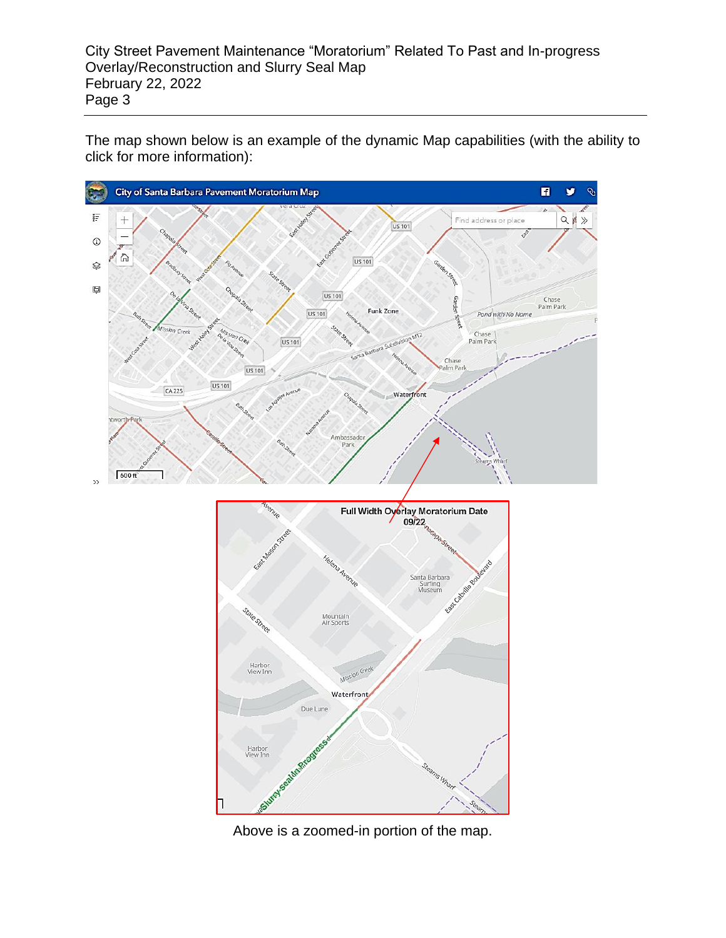The map shown below is an example of the dynamic Map capabilities (with the ability to click for more information):





Above is a zoomed-in portion of the map.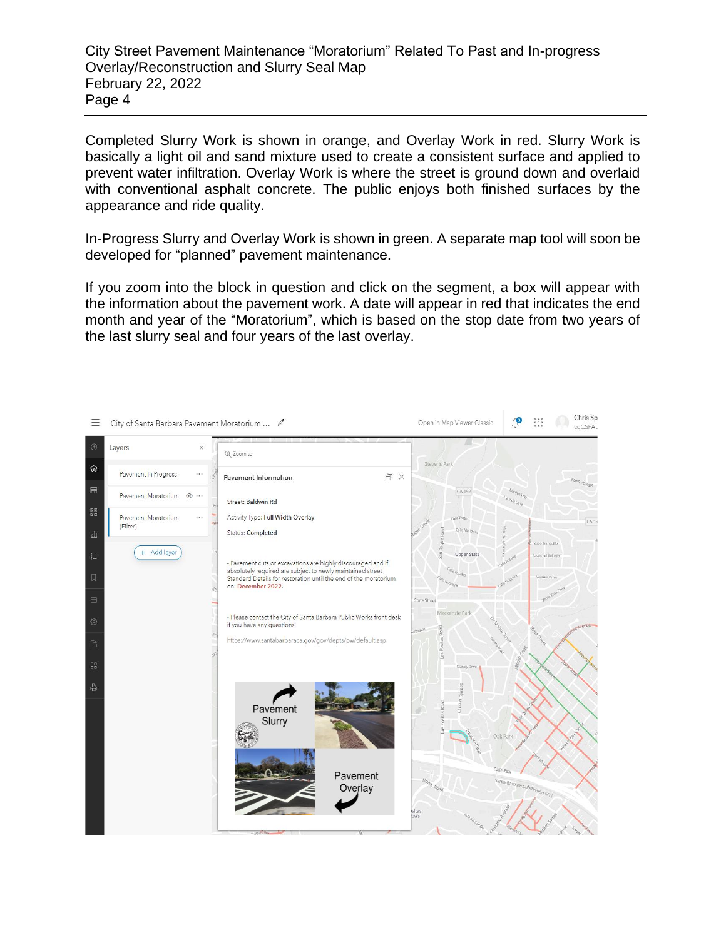Completed Slurry Work is shown in orange, and Overlay Work in red. Slurry Work is basically a light oil and sand mixture used to create a consistent surface and applied to prevent water infiltration. Overlay Work is where the street is ground down and overlaid with conventional asphalt concrete. The public enjoys both finished surfaces by the appearance and ride quality.

In-Progress Slurry and Overlay Work is shown in green. A separate map tool will soon be developed for "planned" pavement maintenance.

If you zoom into the block in question and click on the segment, a box will appear with the information about the pavement work. A date will appear in red that indicates the end month and year of the "Moratorium", which is based on the stop date from two years of the last slurry seal and four years of the last overlay.

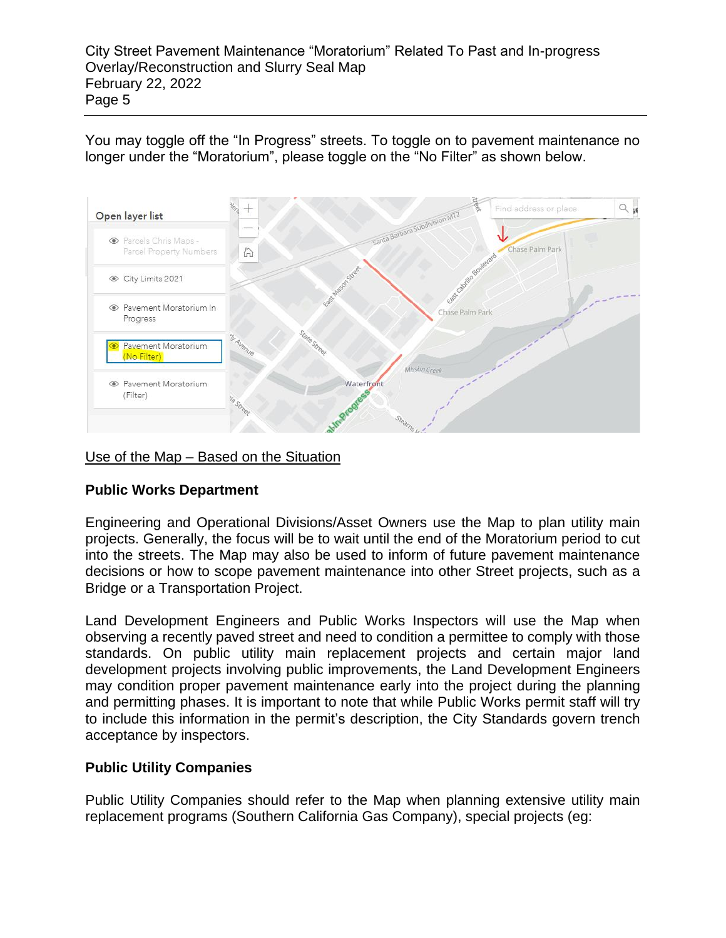You may toggle off the "In Progress" streets. To toggle on to pavement maintenance no longer under the "Moratorium", please toggle on the "No Filter" as shown below.



Use of the Map – Based on the Situation

## **Public Works Department**

Engineering and Operational Divisions/Asset Owners use the Map to plan utility main projects. Generally, the focus will be to wait until the end of the Moratorium period to cut into the streets. The Map may also be used to inform of future pavement maintenance decisions or how to scope pavement maintenance into other Street projects, such as a Bridge or a Transportation Project.

Land Development Engineers and Public Works Inspectors will use the Map when observing a recently paved street and need to condition a permittee to comply with those standards. On public utility main replacement projects and certain major land development projects involving public improvements, the Land Development Engineers may condition proper pavement maintenance early into the project during the planning and permitting phases. It is important to note that while Public Works permit staff will try to include this information in the permit's description, the City Standards govern trench acceptance by inspectors.

## **Public Utility Companies**

Public Utility Companies should refer to the Map when planning extensive utility main replacement programs (Southern California Gas Company), special projects (eg: